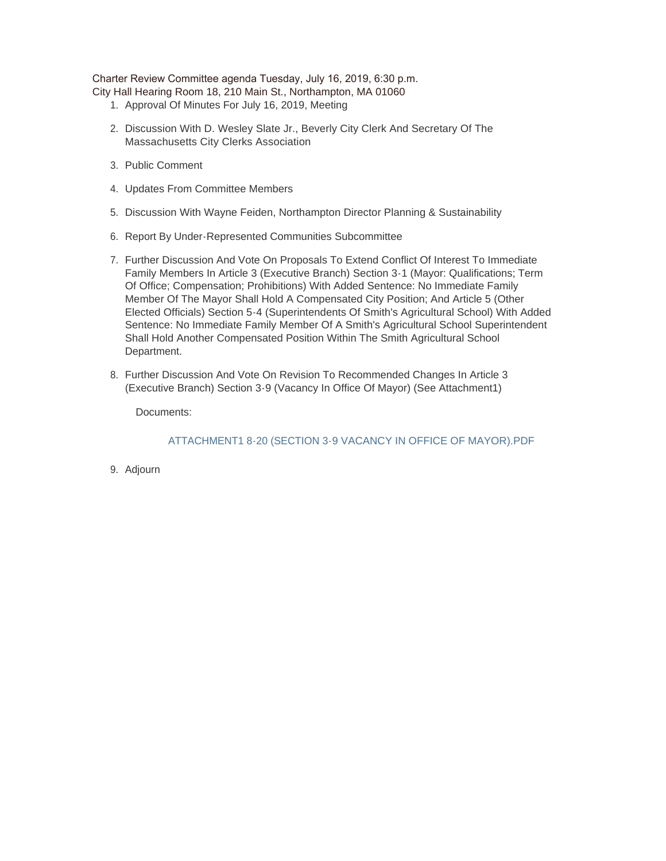Charter Review Committee agenda Tuesday, July 16, 2019, 6:30 p.m.

- City Hall Hearing Room 18, 210 Main St., Northampton, MA 01060
	- 1. Approval Of Minutes For July 16, 2019, Meeting
	- 2. Discussion With D. Wesley Slate Jr., Beverly City Clerk And Secretary Of The Massachusetts City Clerks Association
	- 3. Public Comment
	- 4. Updates From Committee Members
	- 5. Discussion With Wayne Feiden, Northampton Director Planning & Sustainability
	- 6. Report By Under-Represented Communities Subcommittee
	- 7. Further Discussion And Vote On Proposals To Extend Conflict Of Interest To Immediate Family Members In Article 3 (Executive Branch) Section 3-1 (Mayor: Qualifications; Term Of Office; Compensation; Prohibitions) With Added Sentence: No Immediate Family Member Of The Mayor Shall Hold A Compensated City Position; And Article 5 (Other Elected Officials) Section 5-4 (Superintendents Of Smith's Agricultural School) With Added Sentence: No Immediate Family Member Of A Smith's Agricultural School Superintendent Shall Hold Another Compensated Position Within The Smith Agricultural School Department.
	- 8. Further Discussion And Vote On Revision To Recommended Changes In Article 3 (Executive Branch) Section 3-9 (Vacancy In Office Of Mayor) (See Attachment1)

Documents:

ATTACHMENT1 8-20 (SECTION 3-9 VACANCY IN OFFICE OF MAYOR).PDF

9. Adjourn